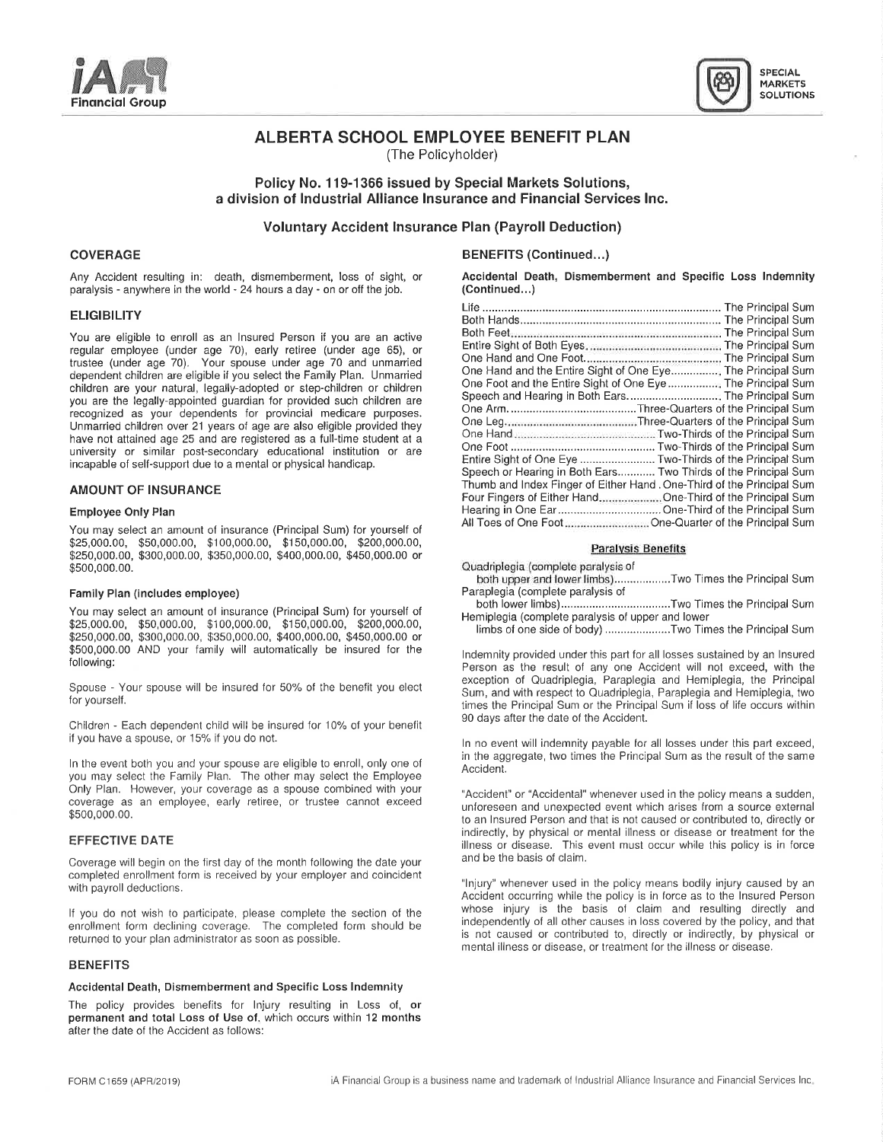



# ALBERTA SCHOOL EMPLOYEE BENEFIT PLAN

(The Policyholder)

## Policy No. 119-1366 issued by Special Markets Solutions, <sup>a</sup> division of Industrial Alliance Insurance and Financial Services Inc.

Voluntary Accident Insurance Plan (Payroll Deduction)

paralysis - anywhere in the world - 24 hours a day - on or off the job. (Continued...

## **AMOUNT OF INSURANCE**

## Employee Only Plan

. . AII Toes of One Foot...........................One-Quarter of the Principal Sum You may select an amount of insurance (Pnncipal Sum) for yourself of \$25,000.00, \$50,000.00, \$100,000.00, \$150,000.00, \$200,000.00, Paralysis Benefits \$250,000.00, \$300,000.00, \$350,000.00, \$450,000.00, \$450,000.00, \$450,000.00, \$450,000.00, \$450,000.00 or \$500,000.00. Quadripiegia (complete paralysis of

### Family Plan (includes employee)

You may select an amount of insurance (Principal Sum) for yourself of \$25,000.00, \$50,000.00, \$100,000.00, \$150,000.00, \$200,000.00, Ferripleyia (complete paralysis of upper and lower<br>\$25,000.00, \$50,000.00, \$100,000.00, \$150,000.00, \$200,000.00, Himbs of one side of body) .................. \$250,000.00, \$300,000.00, \$350,000.00, \$400,000.00, \$450,000.00 or<br>\$500,000.00 AND your family will automatically be insured for the \$500,000.00 AND your family will automatically be insured for the Indemnity provided under this part for all losses sustained by an Insured following:

Children - Each dependent child will be insured for 10% of your benefit if you have <sup>a</sup> spouse, or 15% if you do not.

In the event both you and your spouse are eligible to enroll, only one of The Accident Conductional of the Family Plan. The other may select the Family Plan. Only Plan. However, your coverage as <sup>a</sup> spouse combined with your "Accident" or "Accidental" whenever used in the policy means <sup>a</sup> sudden, coverage as an employee, early retiree, or trustee cannot exceed unforeseen and unexpected event which arises from a source external \$500,000.00.

Coverage will begin on the first day of the month following the date your completed enrollment form is received by your employer and coincident with payroll deductions.

If you do not wish to participate, please complete the section of the enrollment form declining coverage. The completed form should be returned to your plan administrator as soon as possible. is not caused or contributed to, directly or indirectly, by physical or

### BENEFITS

### Accidental Death, Dismemberment and Specific Loss Indemnity

The policy provides benefits for Injury resulting in Loss of, or permanent and total Loss of Use of. which occurs within <sup>12</sup> months after the date of the Accident as follows:

## COVERAGE BENEFITS(Continued...)

Any Accident resulting in: death, dismemberment, loss of sight, or **Accidental Death, Dismemberment and Specific Loss Indemnity**<br>paralysis - anywhere in the world - 24 hours a day - on or off the job. (Continued...)

| ELIGIBILITY                                                                                                                                                                                                                                                                                                                                                                                                                                                                                                                                                                                                                                                                                                                                                                                                   |                                                                                                                                     |
|---------------------------------------------------------------------------------------------------------------------------------------------------------------------------------------------------------------------------------------------------------------------------------------------------------------------------------------------------------------------------------------------------------------------------------------------------------------------------------------------------------------------------------------------------------------------------------------------------------------------------------------------------------------------------------------------------------------------------------------------------------------------------------------------------------------|-------------------------------------------------------------------------------------------------------------------------------------|
|                                                                                                                                                                                                                                                                                                                                                                                                                                                                                                                                                                                                                                                                                                                                                                                                               |                                                                                                                                     |
| You are eligible to enroll as an Insured Person if you are an active<br>regular employee (under age 70), early retiree (under age 65), or<br>trustee (under age 70). Your spouse under age 70 and unmarried<br>dependent children are eligible if you select the Family Plan. Unmarried<br>children are your natural, legally-adopted or step-children or children<br>you are the legally-appointed guardian for provided such children are<br>recognized as your dependents for provincial medicare purposes.<br>Unmarried children over 21 years of age are also eligible provided they<br>have not attained age 25 and are registered as a full-time student at a<br>university or similar post-secondary educational institution or are<br>ncapable of self-support due to a mental or physical handicap. | One Hand and the Entire Sight of One Eye The Principal Sum<br>Entire Sight of One Eye  Two-Thirds of the Principal Sum              |
|                                                                                                                                                                                                                                                                                                                                                                                                                                                                                                                                                                                                                                                                                                                                                                                                               | Speech or Hearing in Both Ears Two Thirds of the Principal Sum                                                                      |
| <b>AMOUNT OF INSURANCE</b>                                                                                                                                                                                                                                                                                                                                                                                                                                                                                                                                                                                                                                                                                                                                                                                    | Thumb and Index Finger of Either Hand, One-Third of the Principal Sum<br>Four Fingers of Either Hand One-Third of the Principal Sum |
| Employee Only Plan                                                                                                                                                                                                                                                                                                                                                                                                                                                                                                                                                                                                                                                                                                                                                                                            | Hearing in One EarOne-Third of the Principal Sum                                                                                    |
|                                                                                                                                                                                                                                                                                                                                                                                                                                                                                                                                                                                                                                                                                                                                                                                                               | All Toes of One Foot <b>Contract Contract Cone-Quarter</b> of the Principal Sum                                                     |

both upper and lower limbs}..................Two Times the Principal Sum

. . both lower limbs)...................................Two Times the Principal Sum

Person as the result of any one Accident will not exceed, with the exception of Quadriplegia, Paraplegia and Hemiplegia, the Principal Spouse - Your spouse will be insured for 50% of the benefit you elect Sum, and with respect to Quadriplegia, Paraplegia and Hemiplegia, two Principals and Hemiplegia, Paraplegia and Hemiplegia, two Principals and Hemiplegi times the Principal Sum or the Principal Sum if loss of life occurs within 90 days after the date of the Accident.

> In no event will indemnity payable for all losses under this part exceed, in the aggregate, two times the Principal Sum as the result of the same

to an Insured Person and that is not caused or contributed to, directly or indirectly, by physical or mental illness or disease or treatment for the EFFECTIVE DATE<br>illness or disease or treatment for the<br>and be the basis of disease. This event must occur while this policy is in force<br>Coverces and be the basis of claim.

> "Injury" whenever used in the policy means bodily injury caused by an Accident occurring while the policy is in force as to the Insured Person whose injury is the basis of claim and resulting directly and independently of all other causes in loss covered by the policy, and that mental illness or disease, or treatment for the illness or disease.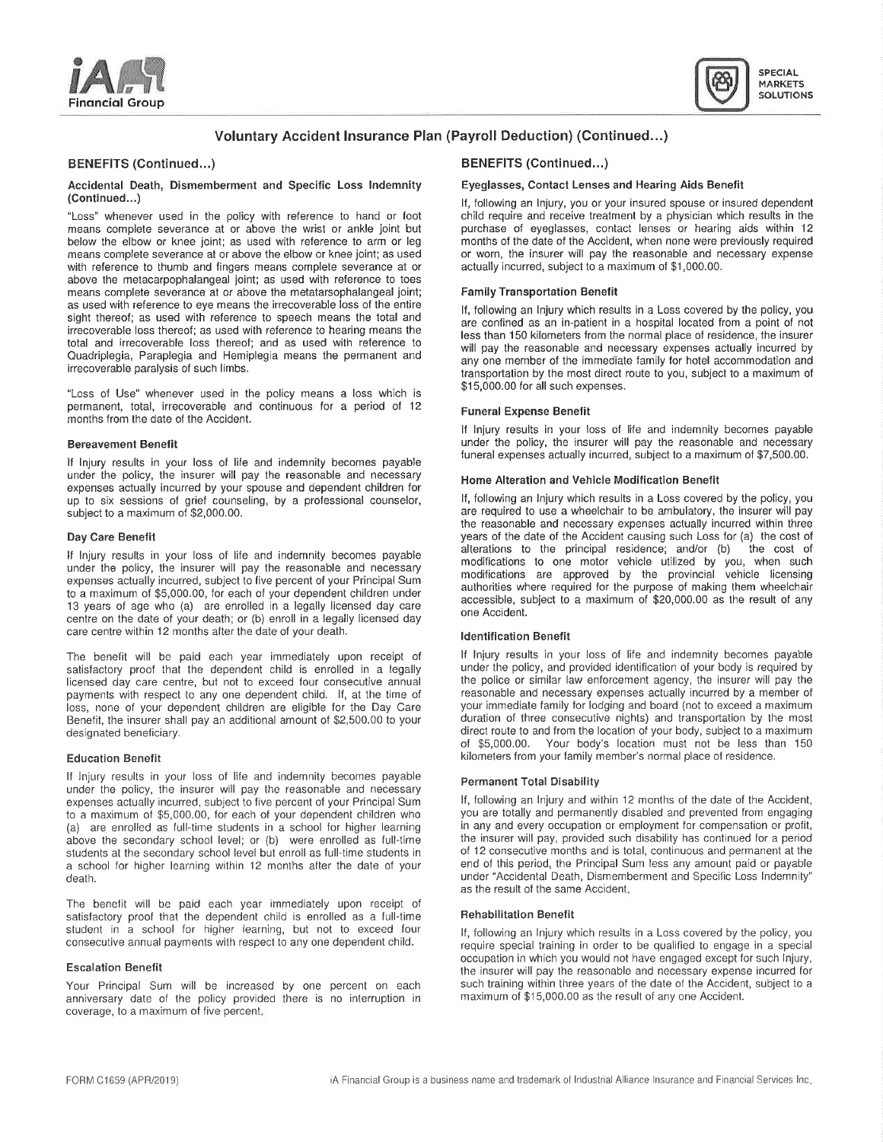Financial Group



# Voluntary Accident Insurance Plan (Payroll Deduction) (Continued...)

## BENEFITS (Continued...) **BENEFITS (Continued...)**

### Accidental Death, Dismemberment and Specific Loss Indemnity Eyeglasses, Contact Lenses and Hearing Aids Benefit (Continued...)

"Loss" whenever used in the policy with reference to hand or foot child require and receive treatment by a physician which results in the means complete severance at or above the wrist or ankle joint but purchase of eyegla means complete severance at or above the wrist or ankle joint but purchase of eyeglasses, contact lenses or hearing aids within 12<br>below the elbow or knee joint; as used with reference to arm or leg months of the date of t below the elbow or knee joint; as used with reference to arm or leg months of the date of the Accident, when none were previously required means complete severance at or above the elbow or knee joint; as used or worn, the means complete severance at or above the elbow or knee joint; as used or worn, the insurer will pay the reasonable and net will pay the reasonable and net will pay the reasonable and net will pay the reasonable and net wil with reference to thumb and fingers means complete severance at or above the metacarpophalangeal joint; as used with reference to toes means complete severance at or above the metatarsophalangeal joint; Family Transportation Benefit as used with reference to eye means the irrecoverable loss of the entire sight thereof; as used with reference to speech means the total and irrecoverable loss thereof; as used with reference to hearing means the irrecoverable loss thereor; as used with reference to hearing means the less than 150 kilometers from the normal place of residence, the insurer<br>total and irrecoverable loss thereof; and as used with reference to will nay Quadriplegia, Paraplegia and Hemiplegia means the permanent and irrecoverable paralysis of such limbs.

"Loss of Use" whenever used in the policy means <sup>a</sup> loss which is permanent, total, irrecoverable and continuous for a period of 12 Funeral Expense Benefit months from the date of the Accident.

If Injury results in your loss of life and indemnity becomes payable under the policy, the insurer will pay the reasonable and necessary Home Alteration and Vehicle Modification Benefit expenses actually incurred by your spouse and dependent children for up to six sessions of grief counseling, by a professional counselor, and it, following an injury which results in a Loss covered by the policy, you are required to use a wheelchair to be ambulatory, the insurer will pay a

If Injury results in your loss of life and indemnity becomes payable and modifications to one motor vehicle utilized by you, when such the such and the such a such a such a such a such a such a such a such a such as the su under the policy, the insurer will pay the reasonable and necessary modifications are approved by the provincial vehicle licensing expenses actually incurred, subject to five percent of your Principal Sum authorities where required for the provincial venicle licensing<br>to a maximum of \$5,000.00, for each of your dependent children under approximate the <sup>13</sup> years of age who (a) are enrolled in <sup>a</sup> legally licensed day care centre on the date of your death; or (b) enroll in <sup>a</sup> legally licensed day care centre within 12 months after the date of your death. In the Internal Multiple of Henrification Benefit

satisfactory proof that the dependent child is enrolled in a legally under the policy, and provided identification of your body is required by licensed day care centre, but not to exceed four consecutive annual the police licensed day care centre, but not to exceed four consecutive annual the police or similar law enforcement agency, the insurer will pay the navments with respect to any one dependent child. If at the time of reasonable and payments with respect to any one dependent child. If, at the time of reasonable and necessary expenses actually incurred by a member of loss, none of vour dependent children are eligible for the Day Care your immediate fam loss, none of your dependent children are eligible for the Day Care your immediate family for lodging and board (not to exceed a maximum Benefit, the insurer shall pay an additional amount of \$2,500,00 to your duration of Benefit, the insurer shall pay an additional amount of \$2,500.00 to your designated beneficiary.

If Injury results in your loss of life and indemnity becomes payable Permanent Total Disability under the policy, the insurer will pay the reasonable and necessary expenses actually incurred, subject to five percent of your Principal Sum If, following an Injury and within 12 months of the date of the Accident,<br>to a maximum of \$5,000,00, for each of your dependent children who you are to a maximum of \$5,000.00, for each of your dependent children who you are totally and permanently disabled and prevented from engaging<br>(a) are enrolled as full-time students in a school for higher learning in any and ever (a) are enrolled as full-time students in a school for higher learning in any and every occupation or employment for compensation or profit,<br>above the secondary school level: or (b) were enrolled as full-time the insurer w above the secondary school level; or (b) were enrolled as full-time the insurer will pay, provided such disability has continued for a period such students at the secondary school level but enroll as full-time students in students at the secondary school level but enroll as full-time students in of 12 consecutive months and is total, continuous and permanent at the a school for higher than the a school for higher is any amount paid or payab a school for higher learning within 12 months after the date of your death. under "Accidental Death, Dismemberment and Specific Loss Indemnity"

The benefit will be paid each year immediately upon receipt of satisfactory proof that the dependent child is enrolled as a full-time **Rehabilitation Benefit** student in a school for higher learning, but not to exceed four **Following an Iniury wit** student in a school for higher learning, but not to exceed four If, following an Injury which results in a Loss covered by the policy, you<br>Consecutive annual payments with respect to any one dependent child. The policy sen

Your Principal Sum will be increased by one percent on each such-training-within-three-years of the date of the Accident.<br>The maximum of the policy provided there is no interruption in maximum of \$15,000.00 as the result o anniversary date of the policy provided there is no interruption in coverage, to <sup>a</sup> maximum of five percent.

If, following an Injury, you or your insured spouse or insured dependent child require and receive treatment by a physician which results in the

If, following an Injury which results in <sup>a</sup> Loss covered by the policy, you are confined as an in-patient in <sup>a</sup> hospital located from <sup>a</sup> point of not will pay the reasonable and necessary expenses actually incurred by any one member of the immediate family for hotel accommodation and transportation by the most direct route to you, subject to a maximum of \$15,000.00 for all such expenses.

If Injury results in your loss of life and indemnily becomes payable Bereavement Benefit under the policy, the insurer will pay the reasonable and necessary<br>funeral expenses actually incurred, subject to a maximum of \$7,500.00.

are required to use a wheelchair to be ambulatory, the insurer will pay the reasonable and necessary e×penses actually incurred within three Day Care Benefit years of the date of the Accident causing such Loss for (a) the cost of<br>alterations to the principal residence; and/or (b) the cost of alterations to the principal residence; and/or (b) accessible, subject to a maximum of \$20,000.00 as the result of any one Accident '

The benefit will be paid each year immediately upon receipt of If Injury results in your loss of life and indemnity becomes payable<br>satisfactory proof that the dependent child is enrolled in a legally under the policy, and direct route to and from the location of your body, subject to a maximum of \$5,000.00. Your body's location must not be less than 150 Education Benefit kilometers from your family member's normal place of residence.

as the result of the same Accident.

require special training in order to be qualified to engage in a special occupation in which you would not have engaged except for such Injury, Escalation Benefit<br>the insurer will pay the insurer will pay the reasonable and necessary expense incurred for<br>Such training within three years of the date of the Accident, subject to a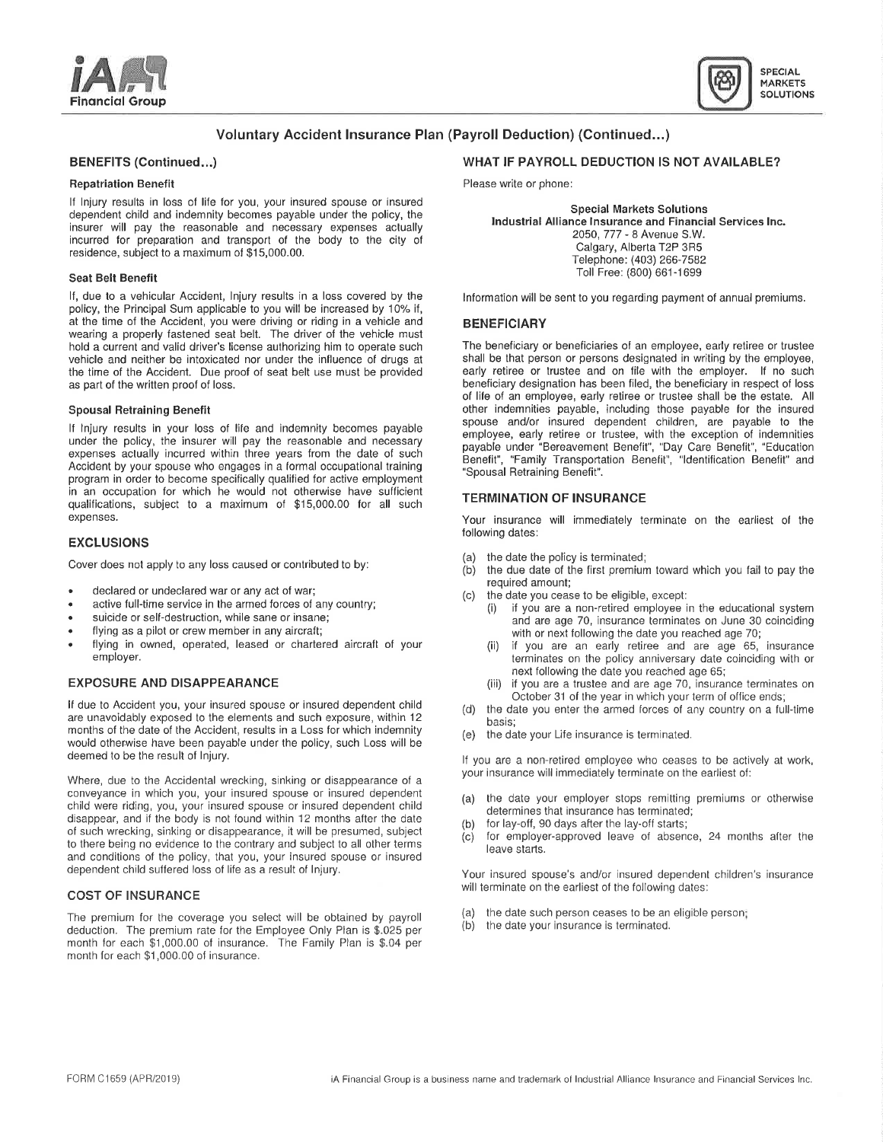



# Voluntary Accident Insurance Plan (Payroll Deduction) (Continued...)

If Injury results in loss of life for you, your insured spouse or insured dependent child and independent child and independent children independent child and industrial dependent child<br>
dependent children in the policy, the Special Markets Solutions<br>
Special Markets Solutions<br>
Industrial Allian insurer will pay the reasonable and necessary expenses actually incurred for preparation and transport of the body to the city of incurred for preparation and transport of the body to the city of the content of Calgary, Alberta T2P 3R5<br>
residence, subject to a maximum of \$15,000.00.

If, due to a vehicular Accident, Injury results in a loss covered by the Information will be sent to you regarding payment of annual premiums. policy, the Principal Sum applicable to you will be increased by 10% if, at the time of the Accident, you were driving or riding in a vehicle and **BENEFICIARY** wearing a properly fastened seat belt. The driver of the vehicle must hold a current and valid driver's license authorizing him to operate such The beneficiary or beneficiaries of an employee, early retiree or trustee<br>vehicle and neither be intoxicated nor under the influence of drugs at sha vehicle and neither be intoxicated nor under the influence of drugs at shall be that person or persons designated in writing by the employee, the time of the Accident. Due proof of seat belt use must be provided early reti the time of the Accident. Due proof of seat belt use must be provided as part of the written proof of loss. beneficiary designation has been filed, the beneficiary in respect of loss

If Injury results in your loss of life and indemnity becomes payable employee, early retiree or trustee, with the exception of indemnities under the policy, the insurer will pay the reasonable and necessary payable under "Bereavement Benefit", "Day Care Benefit", "Education payable under th expenses actually incurred within three years from the date of such Benefit by your spouse who engages in a formal occupational training Benefit "Spousal Retraining Benefit". program in order to become specifically qualified for active employment in an occupation for which he would not otherwise have sufficient in an occupation for which he would not otherwise have sufficient TERMINATION OF INSURANCE qualifications, subject to a maximum of \$15,000.00 for all such expenses. The same state of the excellence of the excellence will immediately terminate on the earliest of the

### EXCLUSIONS

Cover does not apply to any loss caused or contributed to by:

- declared or undeclared war or any act of war;
- active full-time service in the armed forces of any country;<br>suicide or self-destruction, while sane or insane;
- 
- 
- flying as <sup>a</sup> pilot or crew member in any aircraft; with or next following the date you reached age 70; flying in owned, operated, leased or chartered aircraft of your (ii) if you are an early retiree and are age 65, insurance<br>employer.

If due to Accident you, your insured spouse or insured dependent child and the date you enter the armed forces of any country on a full-time are unavoidably exposed to the elements and such exposure, within 12 are unavoidably exposed to the elements and such exposure, within 12 months of the date of the Accident, results in a Loss for which indemnity (e) the date your Life insurance is terminated. would otherwise have been payable under the policy, such Loss will be deemed to be the result of Injury

Where, due to the Accidental wrecking, sinking or disappearance of a conveyance in which you, your insured spouse or insured dependent child were riding, you, your insured spouse or insured dependent child disappear, and if the body is not found within 12 months after the date (b) for lay-off, 90 days after the lay-off starts; disappear, and if the body is not found within 12 months after the date of such wrecking, sinking or disappearance, it will be presumed, subject to there being no evidence to the contrary and subject to all other terms. and conditions of the policy, that you, your insured spouse or insured dependent child suffered loss of life as a result of lnjury.

### COST OF INSURANCE

The premium for the coverage you select will be obtained by payroll (a) the date such person ceases to be an eligible person;<br>(b) the date your insurance is terminated. deduction. The premium rate for the Employee Only Plan is \$.025 per month for each \$1,000.00 of insurance. The Family Plan is \$.04 per month for each \$1,000.00 of insurance.

## BENEFITS (Continued...) WHAT IF PAYROLL DEDUCTION IS NOT AVAILABLE?

Repatriation Benefit **Please write of phone:** Please write or phone:

2050, 777 - <sup>8</sup> Avenue S.W. Telephone: (403) 266-7582 Seat Belt Benefit Toll Free: (800) 661-1699

of life of an employee, early retiree or trustee shall be the estate. All Spousal Retraining Benefit **other indemnities payable**, including those payable for the insured spouse and/or insured dependent children, are payable to the<br>employee, early retiree or trustee, with the exception of indemnities

following dates:

- (a) the date the policy is terminated;<br>(b) the due date of the first premium
- the due date of the first premium toward which you fail to pay the required amount;
- (c) the date you cease to be eligible, except:
- if you are a non-retired employee in the educational system vicide or self-destruction, while sane or insane;<br>
flying as a pilot or crew member in any aircraft;<br>
with or next following the date you reached ane 70;
	- terminates on the policy anniversary date coinciding with or next following the date you reached age 65;
- EXPOSURE AND DISAPPEARANCE (iii) if you are <sup>a</sup> trustee and are age 70, insurance terminates on October <sup>31</sup> of the year in which your term of office ends;
	-
	-

If you are <sup>a</sup> non-retired employee who ceases to be actively at work, your insurance will immediately terminate on the earliest of:

- (a) the date your employer stops remitting premiums or otherwise determines that insurance has terminated;
- 
- (c) for employer-approved leave of absence, 24 months after the leave starts.

Your insured spouse's and/or insured dependent children's insurance will terminate on the earliest of the following dates:

- 
- the date your insurance is terminated.